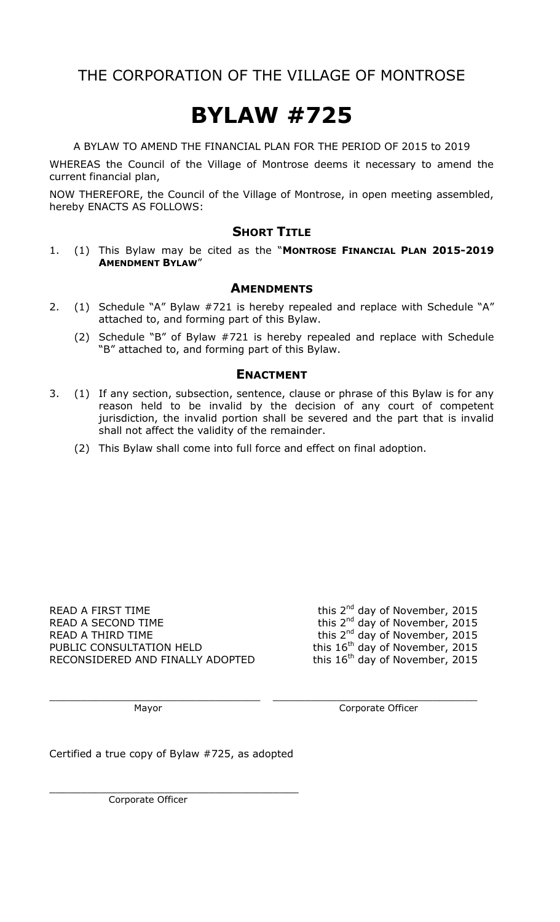### THE CORPORATION OF THE VILLAGE OF MONTROSE

# **BYLAW #725**

A BYLAW TO AMEND THE FINANCIAL PLAN FOR THE PERIOD OF 2015 to 2019

WHEREAS the Council of the Village of Montrose deems it necessary to amend the current financial plan,

NOW THEREFORE, the Council of the Village of Montrose, in open meeting assembled, hereby ENACTS AS FOLLOWS:

#### **SHORT TITLE**

1. (1) This Bylaw may be cited as the "**MONTROSE FINANCIAL PLAN 2015-2019 AMENDMENT BYLAW**"

#### **AMENDMENTS**

- 2. (1) Schedule "A" Bylaw #721 is hereby repealed and replace with Schedule "A" attached to, and forming part of this Bylaw.
	- (2) Schedule "B" of Bylaw #721 is hereby repealed and replace with Schedule "B" attached to, and forming part of this Bylaw.

#### **ENACTMENT**

- 3. (1) If any section, subsection, sentence, clause or phrase of this Bylaw is for any reason held to be invalid by the decision of any court of competent jurisdiction, the invalid portion shall be severed and the part that is invalid shall not affect the validity of the remainder.
	- (2) This Bylaw shall come into full force and effect on final adoption.

 $\_$  , and the contribution of the contribution of  $\mathcal{L}_\mathbf{z}$  , and the contribution of  $\mathcal{L}_\mathbf{z}$ 

READ A FIRST TIME READ A SECOND TIME READ A THIRD TIME PUBLIC CONSULTATION HELD this 16<sup>th</sup> day of November, 2015 RECONSIDERED AND FINALLY ADOPTED this  $16<sup>th</sup>$  day of November, 2015

this 2<sup>nd</sup> day of November, 2015 this 2<sup>nd</sup> day of November, 2015 this 2<sup>nd</sup> day of November, 2015

Mayor **Mayor** Corporate Officer

Certified a true copy of Bylaw #725, as adopted

\_\_\_\_\_\_\_\_\_\_\_\_\_\_\_\_\_\_\_\_\_\_\_\_\_\_\_\_\_\_\_\_\_\_\_\_\_\_\_

Corporate Officer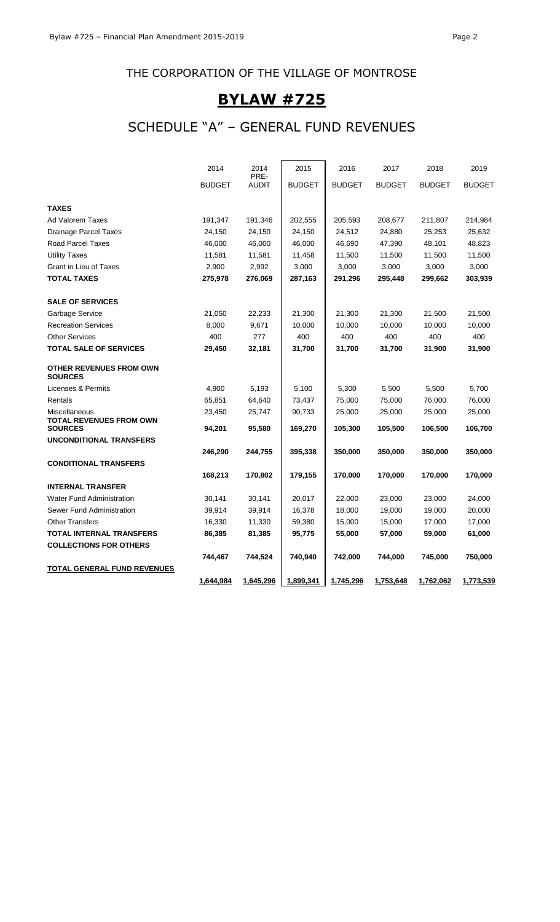### THE CORPORATION OF THE VILLAGE OF MONTROSE

### **BYLAW #725**

### SCHEDULE "A" – GENERAL FUND REVENUES

|                                                 | 2014          | 2014                 | 2015          | 2016             | 2017             | 2018          | 2019             |
|-------------------------------------------------|---------------|----------------------|---------------|------------------|------------------|---------------|------------------|
|                                                 | <b>BUDGET</b> | PRE-<br><b>AUDIT</b> | <b>BUDGET</b> | <b>BUDGET</b>    | <b>BUDGET</b>    | <b>BUDGET</b> | <b>BUDGET</b>    |
| <b>TAXES</b>                                    |               |                      |               |                  |                  |               |                  |
| Ad Valorem Taxes                                | 191,347       | 191,346              | 202,555       | 205,593          | 208,677          | 211,807       | 214,984          |
| <b>Drainage Parcel Taxes</b>                    | 24,150        | 24,150               | 24,150        | 24,512           | 24,880           | 25,253        | 25,632           |
| <b>Road Parcel Taxes</b>                        | 46,000        | 46,000               | 46,000        | 46,690           | 47,390           | 48,101        | 48,823           |
| <b>Utility Taxes</b>                            | 11,581        | 11,581               | 11,458        | 11,500           | 11,500           | 11,500        | 11,500           |
| Grant in Lieu of Taxes                          | 2,900         | 2,992                | 3,000         | 3,000            | 3,000            | 3,000         | 3,000            |
| <b>TOTAL TAXES</b>                              | 275,978       | 276,069              | 287,163       | 291,296          | 295,448          | 299,662       | 303,939          |
| <b>SALE OF SERVICES</b>                         |               |                      |               |                  |                  |               |                  |
| Garbage Service                                 | 21,050        | 22,233               | 21,300        | 21,300           | 21,300           | 21,500        | 21,500           |
| <b>Recreation Services</b>                      | 8,000         | 9,671                | 10,000        | 10,000           | 10,000           | 10,000        | 10,000           |
| <b>Other Services</b>                           | 400           | 277                  | 400           | 400              | 400              | 400           | 400              |
| <b>TOTAL SALE OF SERVICES</b>                   | 29,450        | 32,181               | 31,700        | 31,700           | 31,700           | 31,900        | 31,900           |
| OTHER REVENUES FROM OWN<br><b>SOURCES</b>       |               |                      |               |                  |                  |               |                  |
| Licenses & Permits                              | 4,900         | 5,193                | 5,100         | 5,300            | 5,500            | 5,500         | 5,700            |
| Rentals                                         | 65,851        | 64,640               | 73,437        | 75,000           | 75,000           | 76,000        | 76,000           |
| Miscellaneous<br><b>TOTAL REVENUES FROM OWN</b> | 23,450        | 25,747               | 90,733        | 25,000           | 25,000           | 25,000        | 25,000           |
| <b>SOURCES</b>                                  | 94,201        | 95,580               | 169,270       | 105,300          | 105,500          | 106,500       | 106,700          |
| <b>UNCONDITIONAL TRANSFERS</b>                  | 246,290       | 244,755              | 395,338       | 350,000          | 350,000          | 350,000       | 350,000          |
| <b>CONDITIONAL TRANSFERS</b>                    |               |                      |               |                  |                  |               |                  |
|                                                 | 168,213       | 170,802              | 179,155       | 170,000          | 170,000          | 170,000       | 170,000          |
| <b>INTERNAL TRANSFER</b>                        |               |                      |               |                  |                  |               |                  |
| <b>Water Fund Administration</b>                | 30,141        | 30,141               | 20,017        | 22,000           | 23,000           | 23,000        | 24,000           |
| Sewer Fund Administration                       | 39,914        | 39,914               | 16,378        | 18,000           | 19,000           | 19,000        | 20,000           |
| <b>Other Transfers</b>                          | 16,330        | 11,330               | 59,380        | 15,000           | 15,000           | 17,000        | 17,000           |
| TOTAL INTERNAL TRANSFERS                        | 86,385        | 81,385               | 95,775        | 55,000           | 57,000           | 59,000        | 61,000           |
| <b>COLLECTIONS FOR OTHERS</b>                   |               |                      |               |                  |                  |               |                  |
|                                                 | 744,467       | 744,524              | 740,940       | 742,000          | 744,000          | 745,000       | 750,000          |
| TOTAL GENERAL FUND REVENUES                     |               |                      |               |                  |                  |               |                  |
|                                                 | 1,644,984     | <u>1,645,296</u>     | 1,899,341     | <u>1,745,296</u> | <u>1,753,648</u> | 1,762,062     | <u>1,773,539</u> |